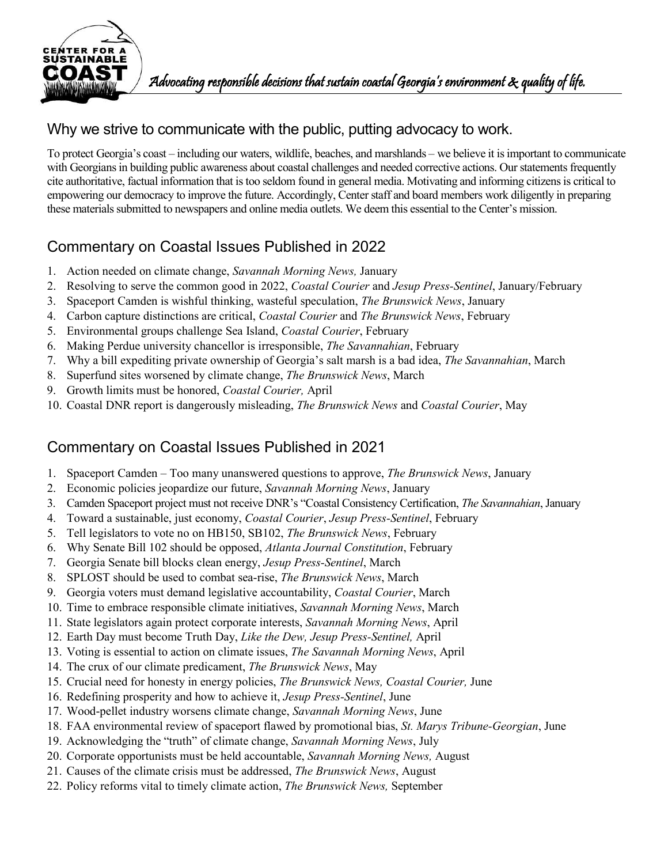

#### Why we strive to communicate with the public, putting advocacy to work.

To protect Georgia's coast – including our waters, wildlife, beaches, and marshlands – we believe it is important to communicate with Georgians in building public awareness about coastal challenges and needed corrective actions. Our statements frequently cite authoritative, factual information that is too seldom found in general media. Motivating and informing citizens is critical to empowering our democracy to improve the future. Accordingly, Center staff and board members work diligently in preparing these materials submitted to newspapers and online media outlets. We deem this essential to the Center's mission.

# Commentary on Coastal Issues Published in 2022

- 1. Action needed on climate change, *Savannah Morning News,* January
- 2. Resolving to serve the common good in 2022, *Coastal Courier* and *Jesup Press-Sentinel*, January/February
- 3. Spaceport Camden is wishful thinking, wasteful speculation, *The Brunswick News*, January
- 4. Carbon capture distinctions are critical, *Coastal Courier* and *The Brunswick News*, February
- 5. Environmental groups challenge Sea Island, *Coastal Courier*, February
- 6. Making Perdue university chancellor is irresponsible, *The Savannahian*, February
- 7. Why a bill expediting private ownership of Georgia's salt marsh is a bad idea, *The Savannahian*, March
- 8. Superfund sites worsened by climate change, *The Brunswick News*, March
- 9. Growth limits must be honored, *Coastal Courier,* April
- 10. Coastal DNR report is dangerously misleading, *The Brunswick News* and *Coastal Courier*, May

- 1. Spaceport Camden Too many unanswered questions to approve, *The Brunswick News*, January
- 2. Economic policies jeopardize our future, *Savannah Morning News*, January
- 3. Camden Spaceport project must not receive DNR's "Coastal Consistency Certification, *The Savannahian*, January
- 4. Toward a sustainable, just economy, *Coastal Courier*, *Jesup Press-Sentinel*, February
- 5. Tell legislators to vote no on HB150, SB102, *The Brunswick News*, February
- 6. Why Senate Bill 102 should be opposed, *Atlanta Journal Constitution*, February
- 7. Georgia Senate bill blocks clean energy, *Jesup Press-Sentinel*, March
- 8. SPLOST should be used to combat sea-rise, *The Brunswick News*, March
- 9. Georgia voters must demand legislative accountability, *Coastal Courier*, March
- 10. Time to embrace responsible climate initiatives, *Savannah Morning News*, March
- 11. State legislators again protect corporate interests, *Savannah Morning News*, April
- 12. Earth Day must become Truth Day, *Like the Dew, Jesup Press-Sentinel,* April
- 13. Voting is essential to action on climate issues, *The Savannah Morning News*, April
- 14. The crux of our climate predicament, *The Brunswick News*, May
- 15. Crucial need for honesty in energy policies, *The Brunswick News, Coastal Courier,* June
- 16. Redefining prosperity and how to achieve it, *Jesup Press-Sentinel*, June
- 17. Wood-pellet industry worsens climate change, *Savannah Morning News*, June
- 18. FAA environmental review of spaceport flawed by promotional bias, *St. Marys Tribune-Georgian*, June
- 19. Acknowledging the "truth" of climate change, *Savannah Morning News*, July
- 20. Corporate opportunists must be held accountable, *Savannah Morning News,* August
- 21. Causes of the climate crisis must be addressed, *The Brunswick News*, August
- 22. Policy reforms vital to timely climate action, *The Brunswick News,* September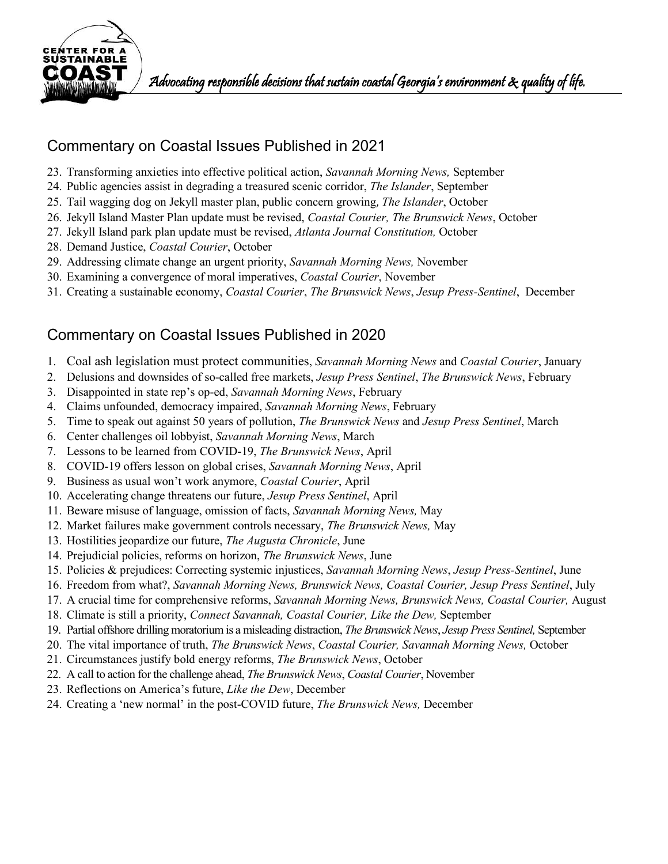

## Commentary on Coastal Issues Published in 2021

- 23. Transforming anxieties into effective political action, *Savannah Morning News,* September
- 24. Public agencies assist in degrading a treasured scenic corridor, *The Islander*, September
- 25. Tail wagging dog on Jekyll master plan, public concern growing, *The Islander*, October
- 26. Jekyll Island Master Plan update must be revised, *Coastal Courier, The Brunswick News*, October
- 27. Jekyll Island park plan update must be revised, *Atlanta Journal Constitution,* October
- 28. Demand Justice, *Coastal Courier*, October
- 29. Addressing climate change an urgent priority, *Savannah Morning News,* November
- 30. Examining a convergence of moral imperatives, *Coastal Courier*, November
- 31. Creating a sustainable economy, *Coastal Courier*, *The Brunswick News*, *Jesup Press-Sentinel*, December

- 1. Coal ash legislation must protect communities, *Savannah Morning News* and *Coastal Courier*, January
- 2. Delusions and downsides of so-called free markets, *Jesup Press Sentinel*, *The Brunswick News*, February
- 3. Disappointed in state rep's op-ed, *Savannah Morning News*, February
- 4. Claims unfounded, democracy impaired, *Savannah Morning News*, February
- 5. Time to speak out against 50 years of pollution, *The Brunswick News* and *Jesup Press Sentinel*, March
- 6. Center challenges oil lobbyist, *Savannah Morning News*, March
- 7. Lessons to be learned from COVID-19, *The Brunswick News*, April
- 8. COVID-19 offers lesson on global crises, *Savannah Morning News*, April
- 9. Business as usual won't work anymore, *Coastal Courier*, April
- 10. Accelerating change threatens our future, *Jesup Press Sentinel*, April
- 11. Beware misuse of language, omission of facts, *Savannah Morning News,* May
- 12. Market failures make government controls necessary, *The Brunswick News,* May
- 13. Hostilities jeopardize our future, *The Augusta Chronicle*, June
- 14. Prejudicial policies, reforms on horizon, *The Brunswick News*, June
- 15. Policies & prejudices: Correcting systemic injustices, *Savannah Morning News*, *Jesup Press-Sentinel*, June
- 16. Freedom from what?, *Savannah Morning News, Brunswick News, Coastal Courier, Jesup Press Sentinel*, July
- 17. A crucial time for comprehensive reforms, *Savannah Morning News, Brunswick News, Coastal Courier,* August
- 18. Climate is still a priority, *Connect Savannah, Coastal Courier, Like the Dew,* September
- 19. Partial offshore drilling moratorium is a misleading distraction, *The Brunswick News*, *Jesup Press Sentinel,* September
- 20. The vital importance of truth, *The Brunswick News*, *Coastal Courier, Savannah Morning News,* October
- 21. Circumstances justify bold energy reforms, *The Brunswick News*, October
- 22. A call to action for the challenge ahead, *The Brunswick News*, *Coastal Courier*, November
- 23. Reflections on America's future, *Like the Dew*, December
- 24. Creating a 'new normal' in the post-COVID future, *The Brunswick News,* December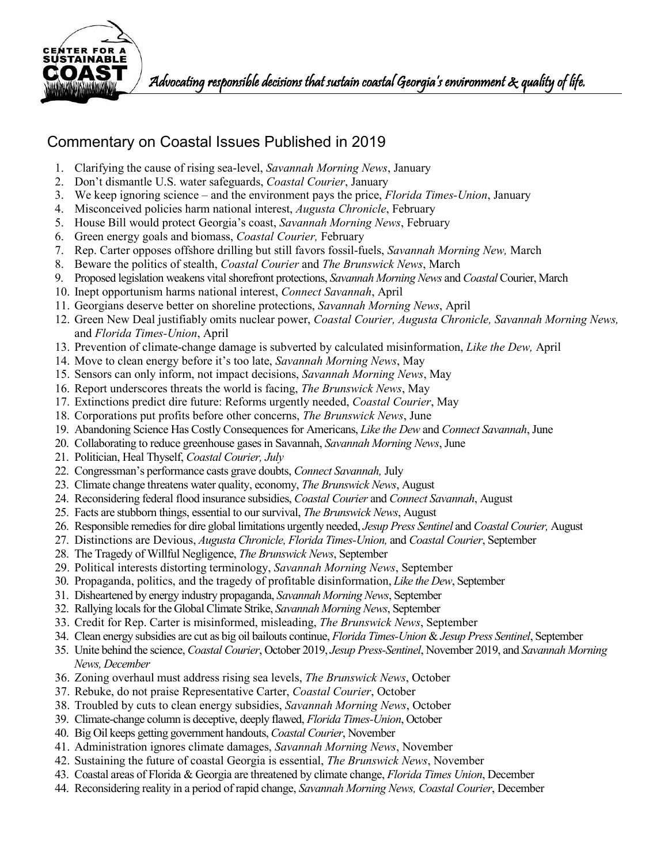

 $\mathbf{C}$   $\mathbf{A}$   $\mathbf{S}$   $\mathbf{T}$  ) advocating responsible decisions that sustain coastal Georgia's environment  $\mathbf{x}$  quality of life.

- 1. Clarifying the cause of rising sea-level, *Savannah Morning News*, January
- 2. Don't dismantle U.S. water safeguards, *Coastal Courier*, January
- 3. We keep ignoring science and the environment pays the price, *Florida Times-Union*, January
- 4. Misconceived policies harm national interest, *Augusta Chronicle*, February
- 5. House Bill would protect Georgia's coast, *Savannah Morning News*, February
- 6. Green energy goals and biomass, *Coastal Courier,* February
- 7. Rep. Carter opposes offshore drilling but still favors fossil-fuels, *Savannah Morning New,* March
- 8. Beware the politics of stealth, *Coastal Courier* and *The Brunswick News*, March
- 9. Proposed legislation weakens vital shorefront protections, *Savannah Morning News* and *Coastal* Courier, March
- 10. Inept opportunism harms national interest, *Connect Savannah*, April
- 11. Georgians deserve better on shoreline protections, *Savannah Morning News*, April
- 12. Green New Deal justifiably omits nuclear power, *Coastal Courier, Augusta Chronicle, Savannah Morning News,*  and *Florida Times-Union*, April
- 13. Prevention of climate-change damage is subverted by calculated misinformation, *Like the Dew,* April
- 14. Move to clean energy before it's too late, *Savannah Morning News*, May
- 15. [Sensors can only inform, not impact decisions,](https://www.savannahnow.com/opinion/20190521/letters-to-editor-tuesday-sensors-can-only-inform-not-impact-decisions) *Savannah Morning News*, May
- 16. Report underscores threats the world is facing, *The Brunswick News*, May
- 17. Extinctions predict dire future: Reforms urgently needed, *Coastal Courier*, May
- 18. Corporations put profits before other concerns, *The Brunswick News*, June
- 19. Abandoning Science Has Costly Consequences for Americans, *Like the Dew* and *Connect Savannah*, June
- 20. Collaborating to reduce greenhouse gases in Savannah, *Savannah Morning News*, June
- 21. Politician, Heal Thyself, *Coastal Courier, July*
- 22. Congressman's performance casts grave doubts, *Connect Savannah,* July
- 23. Climate change threatens water quality, economy, *The Brunswick News*, August
- 24. Reconsidering federal flood insurance subsidies, *Coastal Courier* and *Connect Savannah*, August
- 25. Facts are stubborn things, essential to our survival, *The Brunswick News*, August
- 26. Responsible remedies for dire global limitations urgently needed, *Jesup Press Sentinel* and *Coastal Courier,* August
- 27. Distinctions are Devious, *Augusta Chronicle, Florida Times-Union,* and *Coastal Courier*, September
- 28. The Tragedy of Willful Negligence, *The Brunswick News*, September
- 29. Political interests distorting terminology, *Savannah Morning News*, September
- 30. Propaganda, politics, and the tragedy of profitable disinformation, *Like the Dew*, September
- 31. Disheartened by energy industry propaganda, *Savannah Morning News*, September
- 32. Rallying locals for the Global Climate Strike, *Savannah Morning News*, September
- 33. Credit for Rep. Carter is misinformed, misleading, *The Brunswick News*, September
- 34. Clean energy subsidies are cut as big oil bailouts continue, *Florida Times-Union* & *Jesup Press Sentinel*, September
- 35. Unite behind the science, *Coastal Courier*, October 2019, *Jesup Press-Sentinel*, November 2019, and *Savannah Morning News, December*
- 36. Zoning overhaul must address rising sea levels, *The Brunswick News*, October
- 37. Rebuke, do not praise Representative Carter, *Coastal Courier*, October
- 38. Troubled by cuts to clean energy subsidies, *Savannah Morning News*, October
- 39. Climate-change column is deceptive, deeply flawed, *Florida Times-Union*, October
- 40. Big Oil keeps getting government handouts, *Coastal Courier*, November
- 41. Administration ignores climate damages, *Savannah Morning News*, November
- 42. Sustaining the future of coastal Georgia is essential, *The Brunswick News*, November
- 43. Coastal areas of Florida & Georgia are threatened by climate change, *Florida Times Union*, December
- 44. Reconsidering reality in a period of rapid change, *Savannah Morning News, Coastal Courier*, December